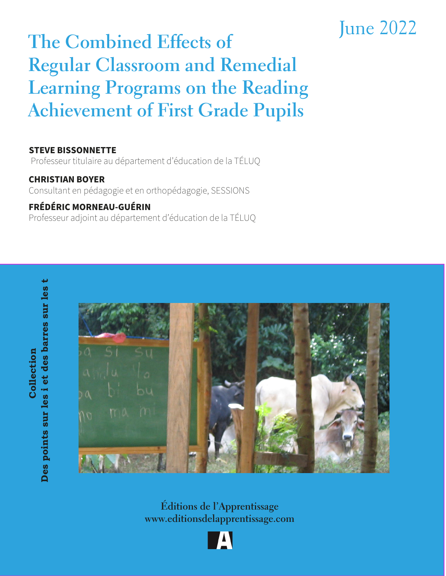# June 2022 **The Combined Effects of Regular Classroom and Remedial Learning Programs on the Reading Achievement of First Grade Pupils**

#### **STEVE BISSONNETTE**

Professeur titulaire au département d'éducation de la TÉLUQ

**CHRISTIAN BOYER** Consultant en pédagogie et en orthopédagogie, SESSIONS

### **FRÉDÉRIC MORNEAU-GUÉRIN**

Professeur adjoint au département d'éducation de la TÉLUQ

Des points sur les i et des barres sur les t **Des points sur les i et des barres sur les t** Collection **Collection**



**Éditions de l'Apprentissage www.editionsdelapprentissage.com**

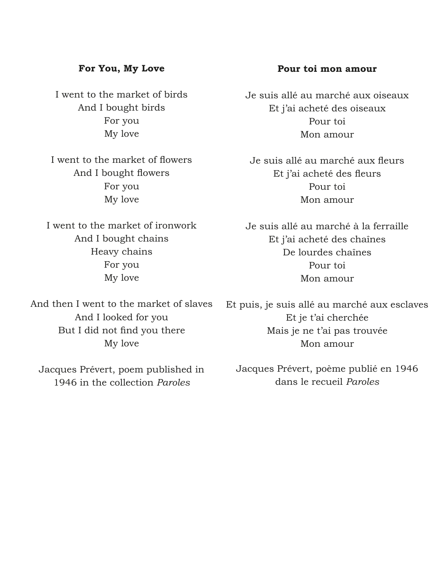#### **For You, My Love**

I went to the market of birds And I bought birds For you My love

I went to the market of flowers And I bought flowers For you My love

I went to the market of ironwork And I bought chains Heavy chains For you My love

And then I went to the market of slaves And I looked for you But I did not find you there My love

Jacques Prévert, poem published in 1946 in the collection *Paroles*

#### **Pour toi mon amour**

Je suis allé au marché aux oiseaux Et j'ai acheté des oiseaux Pour toi Mon amour

Je suis allé au marché aux fleurs Et j'ai acheté des fleurs Pour toi Mon amour

Je suis allé au marché à la ferraille Et j'ai acheté des chaînes De lourdes chaînes Pour toi Mon amour

Et puis, je suis allé au marché aux esclaves Et je t'ai cherchée Mais je ne t'ai pas trouvée Mon amour

Jacques Prévert, poème publié en 1946 dans le recueil *Paroles*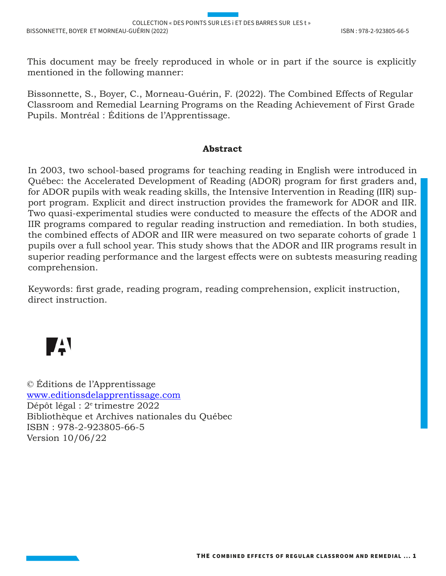This document may be freely reproduced in whole or in part if the source is explicitly mentioned in the following manner:

Bissonnette, S., Boyer, C., Morneau-Guérin, F. (2022). The Combined Effects of Regular Classroom and Remedial Learning Programs on the Reading Achievement of First Grade Pupils. Montréal : Éditions de l'Apprentissage.

#### **Abstract**

In 2003, two school-based programs for teaching reading in English were introduced in Québec: the Accelerated Development of Reading (ADOR) program for first graders and, for ADOR pupils with weak reading skills, the Intensive Intervention in Reading (IIR) support program. Explicit and direct instruction provides the framework for ADOR and IIR. Two quasi-experimental studies were conducted to measure the effects of the ADOR and IIR programs compared to regular reading instruction and remediation. In both studies, the combined effects of ADOR and IIR were measured on two separate cohorts of grade 1 pupils over a full school year. This study shows that the ADOR and IIR programs result in superior reading performance and the largest effects were on subtests measuring reading comprehension.

Keywords: first grade, reading program, reading comprehension, explicit instruction, direct instruction.



© Éditions de l'Apprentissage www.editionsdelapprentissage.com Dépôt légal : 2e trimestre 2022 Bibliothèque et Archives nationales du Québec ISBN : 978-2-923805-66-5 Version 10/06/22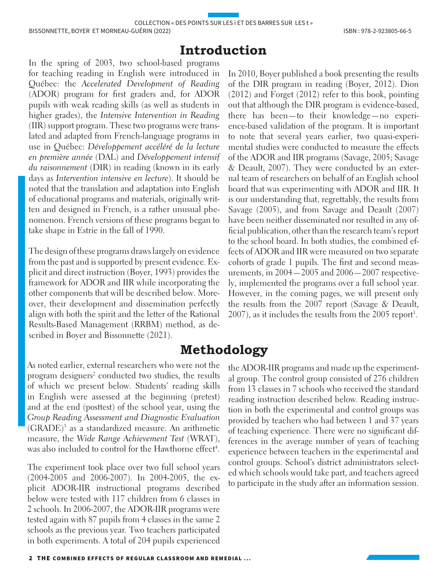## **Introduction**

In the spring of 2003, two school-based programs for teaching reading in English were introduced in Québec: the *Accelerated Development of Reading* (ADOR) program for first graders and, for ADOR pupils with weak reading skills (as well as students in higher grades), the *Intensive Intervention in Reading* (IIR) support program. These two programs were translated and adapted from French-language programs in use in Québec: *Développement accéléré de la lecture en première année* (DAL) and *Développement intensif du raisonnement* (DIR) in reading (known in its early days as *Intervention intensive en lecture*). It should be noted that the translation and adaptation into English of educational programs and materials, originally written and designed in French, is a rather unusual phenomenon. French versions of these programs began to take shape in Estrie in the fall of 1990.

The design of these programs draws largely on evidence from the past and is supported by present evidence. Explicit and direct instruction (Boyer, 1993) provides the framework for ADOR and IIR while incorporating the other components that will be described below. Moreover, their development and dissemination perfectly align with both the spirit and the letter of the Rational Results-Based Management (RRBM) method, as described in Boyer and Bissonnette (2021).

As noted earlier, external researchers who were not the program designers<sup>2</sup> conducted two studies, the results of which we present below. Students' reading skills in English were assessed at the beginning (pretest) and at the end (posttest) of the school year, using the *Group Reading Assessment and Diagnostic Evaluation*  $(GRADE)^3$  as a standardized measure. An arithmetic measure, the *Wide Range Achievement Test* (WRAT), was also included to control for the Hawthorne effect<sup>4</sup>.

The experiment took place over two full school years (2004-2005 and 2006-2007). In 2004-2005, the explicit ADOR-IIR instructional programs described below were tested with 117 children from 6 classes in 2 schools. In 2006-2007, the ADOR-IIR programs were tested again with 87 pupils from 4 classes in the same 2 schools as the previous year. Two teachers participated in both experiments. A total of 204 pupils experienced

In 2010, Boyer published a book presenting the results of the DIR program in reading (Boyer, 2012). Dion (2012) and Forget (2012) refer to this book, pointing out that although the DIR program is evidence-based, there has been—to their knowledge—no experience-based validation of the program. It is important to note that several years earlier, two quasi-experimental studies were conducted to measure the effects of the ADOR and IIR programs (Savage, 2005; Savage & Deault, 2007). They were conducted by an external team of researchers on behalf of an English school board that was experimenting with ADOR and IIR. It is our understanding that, regrettably, the results from Savage (2005), and from Savage and Deault (2007) have been neither disseminated nor resulted in any official publication, other than the research team's report to the school board. In both studies, the combined effects of ADOR and IIR were measured on two separate cohorts of grade 1 pupils. The first and second measurements, in 2004—2005 and 2006—2007 respectively, implemented the programs over a full school year. However, in the coming pages, we will present only the results from the 2007 report (Savage & Deault,  $2007$ ), as it includes the results from the  $2005$  report<sup>1</sup>.

# **Methodology**

the ADOR-IIR programs and made up the experimental group. The control group consisted of 276 children from 13 classes in 7 schools who received the standard reading instruction described below. Reading instruction in both the experimental and control groups was provided by teachers who had between 1 and 37 years of teaching experience. There were no significant differences in the average number of years of teaching experience between teachers in the experimental and control groups. School's district administrators selected which schools would take part, and teachers agreed to participate in the study after an information session.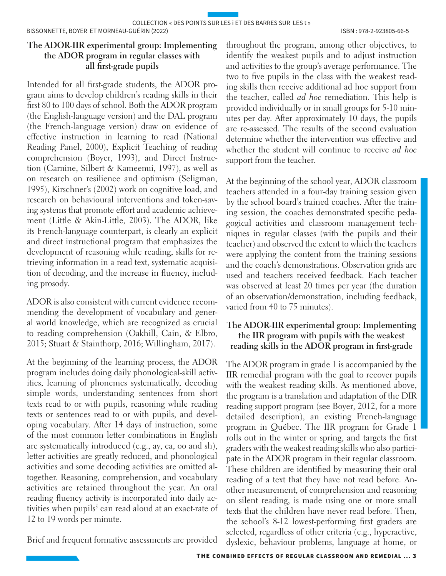#### **The ADOR-IIR experimental group: Implementing the ADOR program in regular classes with all first-grade pupils**

Intended for all first-grade students, the ADOR program aims to develop children's reading skills in their first 80 to 100 days of school. Both the ADOR program (the English-language version) and the DAL program (the French-language version) draw on evidence of effective instruction in learning to read (National Reading Panel, 2000), Explicit Teaching of reading comprehension (Boyer, 1993), and Direct Instruction (Carnine, Silbert & Kameenui, 1997), as well as on research on resilience and optimism (Seligman, 1995), Kirschner's (2002) work on cognitive load, and research on behavioural interventions and token-saving systems that promote effort and academic achievement (Little & Akin-Little, 2003). The ADOR, like its French-language counterpart, is clearly an explicit and direct instructional program that emphasizes the development of reasoning while reading, skills for retrieving information in a read text, systematic acquisition of decoding, and the increase in fluency, including prosody.

ADOR is also consistent with current evidence recommending the development of vocabulary and general world knowledge, which are recognized as crucial to reading comprehension (Oakhill, Cain, & Elbro, 2015; Stuart & Stainthorp, 2016; Willingham, 2017).

At the beginning of the learning process, the ADOR program includes doing daily phonological-skill activities, learning of phonemes systematically, decoding simple words, understanding sentences from short texts read to or with pupils, reasoning while reading texts or sentences read to or with pupils, and developing vocabulary. After 14 days of instruction, some of the most common letter combinations in English are systematically introduced (e.g., ay, ea, oo and sh), letter activities are greatly reduced, and phonological activities and some decoding activities are omitted altogether. Reasoning, comprehension, and vocabulary activities are retained throughout the year. An oral reading fluency activity is incorporated into daily activities when pupils<sup>5</sup> can read aloud at an exact-rate of 12 to 19 words per minute.

Brief and frequent formative assessments are provided

throughout the program, among other objectives, to identify the weakest pupils and to adjust instruction and activities to the group's average performance. The two to five pupils in the class with the weakest reading skills then receive additional ad hoc support from the teacher, called *ad hoc* remediation. This help is provided individually or in small groups for 5-10 minutes per day. After approximately 10 days, the pupils are re-assessed. The results of the second evaluation determine whether the intervention was effective and whether the student will continue to receive *ad hoc* support from the teacher.

At the beginning of the school year, ADOR classroom teachers attended in a four-day training session given by the school board's trained coaches. After the training session, the coaches demonstrated specific pedagogical activities and classroom management techniques in regular classes (with the pupils and their teacher) and observed the extent to which the teachers were applying the content from the training sessions and the coach's demonstrations. Observation grids are used and teachers received feedback. Each teacher was observed at least 20 times per year (the duration of an observation/demonstration, including feedback, varied from 40 to 75 minutes).

#### **The ADOR-IIR experimental group: Implementing the IIR program with pupils with the weakest reading skills in the ADOR program in first-grade**

The ADOR program in grade 1 is accompanied by the IIR remedial program with the goal to recover pupils with the weakest reading skills. As mentioned above, the program is a translation and adaptation of the DIR reading support program (see Boyer, 2012, for a more detailed description), an existing French-language program in Québec. The IIR program for Grade 1 rolls out in the winter or spring, and targets the first graders with the weakest reading skills who also participate in the ADOR program in their regular classroom. These children are identified by measuring their oral reading of a text that they have not read before. Another measurement, of comprehension and reasoning on silent reading, is made using one or more small texts that the children have never read before. Then, the school's 8-12 lowest-performing first graders are selected, regardless of other criteria (e.g., hyperactive, dyslexic, behaviour problems, language at home, or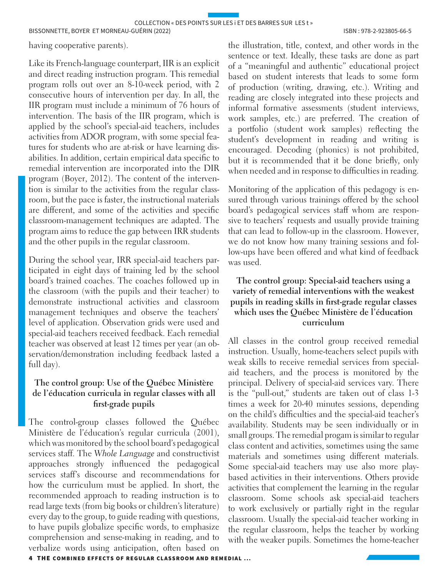having cooperative parents).

Like its French-language counterpart, IIR is an explicit and direct reading instruction program. This remedial program rolls out over an 8-10-week period, with 2 consecutive hours of intervention per day. In all, the IIR program must include a minimum of 76 hours of intervention. The basis of the IIR program, which is applied by the school's special-aid teachers, includes activities from ADOR program, with some special features for students who are at-risk or have learning disabilities. In addition, certain empirical data specific to remedial intervention are incorporated into the DIR program (Boyer, 2012). The content of the intervention is similar to the activities from the regular classroom, but the pace is faster, the instructional materials are different, and some of the activities and specific classroom-management techniques are adapted. The program aims to reduce the gap between IRR students and the other pupils in the regular classroom.

During the school year, IRR special-aid teachers participated in eight days of training led by the school board's trained coaches. The coaches followed up in the classroom (with the pupils and their teacher) to demonstrate instructional activities and classroom management techniques and observe the teachers' level of application. Observation grids were used and special-aid teachers received feedback. Each remedial teacher was observed at least 12 times per year (an observation/demonstration including feedback lasted a full day).

#### **The control group: Use of the Québec Ministère de l'éducation curricula in regular classes with all first-grade pupils**

The control-group classes followed the Québec Ministère de l'éducation's regular curricula (2001), which was monitored by the school board's pedagogical services staff. The *Whole Language* and constructivist approaches strongly influenced the pedagogical services staff's discourse and recommendations for how the curriculum must be applied. In short, the recommended approach to reading instruction is to read large texts (from big books or children's literature) every day to the group, to guide reading with questions, to have pupils globalize specific words, to emphasize comprehension and sense-making in reading, and to verbalize words using anticipation, often based on

the illustration, title, context, and other words in the sentence or text. Ideally, these tasks are done as part of a "meaningful and authentic" educational project based on student interests that leads to some form of production (writing, drawing, etc.). Writing and reading are closely integrated into these projects and informal formative assessments (student interviews, work samples, etc.) are preferred. The creation of a portfolio (student work samples) reflecting the student's development in reading and writing is encouraged. Decoding (phonics) is not prohibited, but it is recommended that it be done briefly, only when needed and in response to difficulties in reading.

Monitoring of the application of this pedagogy is ensured through various trainings offered by the school board's pedagogical services staff whom are responsive to teachers' requests and usually provide training that can lead to follow-up in the classroom. However, we do not know how many training sessions and follow-ups have been offered and what kind of feedback was used.

#### **The control group: Special-aid teachers using a variety of remedial interventions with the weakest pupils in reading skills in first-grade regular classes which uses the Québec Ministère de l'éducation curriculum**

All classes in the control group received remedial instruction. Usually, home-teachers select pupils with weak skills to receive remedial services from specialaid teachers, and the process is monitored by the principal. Delivery of special-aid services vary. There is the "pull-out," students are taken out of class 1-3 times a week for 20-40 minutes sessions, depending on the child's difficulties and the special-aid teacher's availability. Students may be seen individually or in small groups. The remedial progam is similar to regular class content and activities, sometimes using the same materials and sometimes using different materials. Some special-aid teachers may use also more playbased activities in their interventions. Others provide activities that complement the learning in the regular classroom. Some schools ask special-aid teachers to work exclusively or partially right in the regular classroom. Usually the special-aid teacher working in the regular classroom, helps the teacher by working with the weaker pupils. Sometimes the home-teacher

4 THE COMBINED EFFECTS OF REGULAR CLASSROOM AND REMEDIAL ...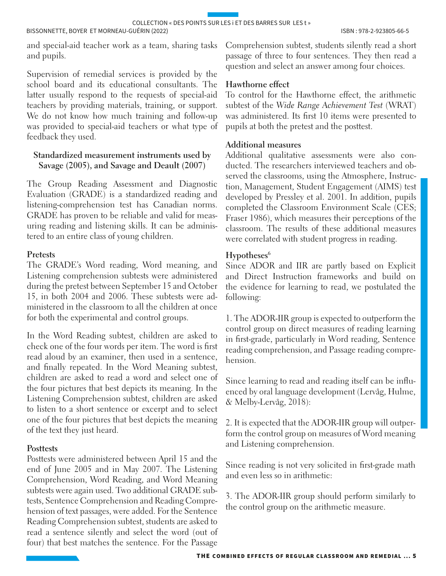and special-aid teacher work as a team, sharing tasks and pupils.

Supervision of remedial services is provided by the school board and its educational consultants. The latter usually respond to the requests of special-aid teachers by providing materials, training, or support. We do not know how much training and follow-up was provided to special-aid teachers or what type of feedback they used.

#### **Standardized measurement instruments used by Savage (2005), and Savage and Deault (2007)**

The Group Reading Assessment and Diagnostic Evaluation (GRADE) is a standardized reading and listening-comprehension test has Canadian norms. GRADE has proven to be reliable and valid for measuring reading and listening skills. It can be administered to an entire class of young children.

#### **Pretests**

The GRADE's Word reading, Word meaning, and Listening comprehension subtests were administered during the pretest between September 15 and October 15, in both 2004 and 2006. These subtests were administered in the classroom to all the children at once for both the experimental and control groups.

In the Word Reading subtest, children are asked to check one of the four words per item. The word is first read aloud by an examiner, then used in a sentence, and finally repeated. In the Word Meaning subtest, children are asked to read a word and select one of the four pictures that best depicts its meaning. In the Listening Comprehension subtest, children are asked to listen to a short sentence or excerpt and to select one of the four pictures that best depicts the meaning of the text they just heard.

#### **Posttests**

Posttests were administered between April 15 and the end of June 2005 and in May 2007. The Listening Comprehension, Word Reading, and Word Meaning subtests were again used. Two additional GRADE subtests, Sentence Comprehension and Reading Comprehension of text passages, were added. For the Sentence Reading Comprehension subtest, students are asked to read a sentence silently and select the word (out of four) that best matches the sentence. For the Passage

Comprehension subtest, students silently read a short passage of three to four sentences. They then read a question and select an answer among four choices.

#### **Hawthorne effect**

To control for the Hawthorne effect, the arithmetic subtest of the *Wide Range Achievement Test* (WRAT) was administered. Its first 10 items were presented to pupils at both the pretest and the posttest.

#### **Additional measures**

Additional qualitative assessments were also conducted. The researchers interviewed teachers and observed the classrooms, using the Atmosphere, Instruction, Management, Student Engagement (AIMS) test developed by Pressley et al. 2001. In addition, pupils completed the Classroom Environment Scale (CES; Fraser 1986), which measures their perceptions of the classroom. The results of these additional measures were correlated with student progress in reading.

#### Hypotheses<sup>6</sup>

Since ADOR and IIR are partly based on Explicit and Direct Instruction frameworks and build on the evidence for learning to read, we postulated the following:

1. The ADOR-IIR group is expected to outperform the control group on direct measures of reading learning in first-grade, particularly in Word reading, Sentence reading comprehension, and Passage reading comprehension.

Since learning to read and reading itself can be influenced by oral language development (Lervåg, Hulme, & Melby-Lervåg, 2018):

2. It is expected that the ADOR-IIR group will outperform the control group on measures of Word meaning and Listening comprehension.

Since reading is not very solicited in first-grade math and even less so in arithmetic:

3. The ADOR-IIR group should perform similarly to the control group on the arithmetic measure.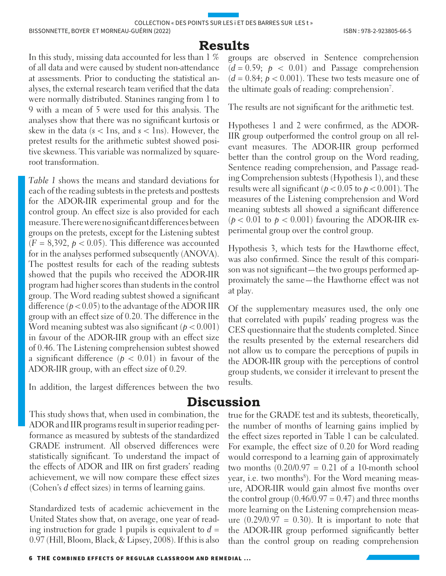## **Results**

In this study, missing data accounted for less than 1 % of all data and were caused by student non-attendance at assessments. Prior to conducting the statistical analyses, the external research team verified that the data were normally distributed. Stanines ranging from 1 to 9 with a mean of 5 were used for this analysis. The analyses show that there was no significant kurtosis or skew in the data ( $s$  < 1ns, and  $s$  < 1ns). However, the pretest results for the arithmetic subtest showed positive skewness. This variable was normalized by squareroot transformation.

*Table 1* shows the means and standard deviations for each of the reading subtests in the pretests and posttests for the ADOR-IIR experimental group and for the control group. An effect size is also provided for each measure. There were no significant differences between groups on the pretests, except for the Listening subtest  $(F = 8,392, p < 0.05)$ . This difference was accounted for in the analyses performed subsequently (ANOVA). The posttest results for each of the reading subtests showed that the pupils who received the ADOR-IIR program had higher scores than students in the control group. The Word reading subtest showed a significant difference  $(p < 0.05)$  to the advantage of the ADOR IIR group with an effect size of 0.20. The difference in the Word meaning subtest was also significant  $(p < 0.001)$ in favour of the ADOR-IIR group with an effect size of 0.46. The Listening comprehension subtest showed a significant difference  $(p < 0.01)$  in favour of the ADOR-IIR group, with an effect size of 0.29.

In addition, the largest differences between the two

This study shows that, when used in combination, the ADOR and IIR programs result in superior reading performance as measured by subtests of the standardized GRADE instrument. All observed differences were statistically significant. To understand the impact of the effects of ADOR and IIR on first graders' reading achievement, we will now compare these effect sizes

Standardized tests of academic achievement in the United States show that, on average, one year of reading instruction for grade 1 pupils is equivalent to  $d =$ 0.97 (Hill, Bloom, Black, & Lipsey, 2008). If this is also

(Cohen's *d* effect sizes) in terms of learning gains.

groups are observed in Sentence comprehension  $(d = 0.59; p < 0.01)$  and Passage comprehension  $(d = 0.84; p < 0.001)$ . These two tests measure one of the ultimate goals of reading: comprehension<sup>7</sup>.

The results are not significant for the arithmetic test.

Hypotheses 1 and 2 were confirmed, as the ADOR-IIR group outperformed the control group on all relevant measures. The ADOR-IIR group performed better than the control group on the Word reading, Sentence reading comprehension, and Passage reading Comprehension subtests (Hypothesis 1), and these results were all significant ( $p < 0.05$  to  $p < 0.001$ ). The measures of the Listening comprehension and Word meaning subtests all showed a significant difference ( $p < 0.01$  to  $p < 0.001$ ) favouring the ADOR-IIR experimental group over the control group.

Hypothesis 3, which tests for the Hawthorne effect, was also confirmed. Since the result of this comparison was not significant—the two groups performed approximately the same—the Hawthorne effect was not at play.

Of the supplementary measures used, the only one that correlated with pupils' reading progress was the CES questionnaire that the students completed. Since the results presented by the external researchers did not allow us to compare the perceptions of pupils in the ADOR-IIR group with the perceptions of control group students, we consider it irrelevant to present the results.

# **Discussion**

true for the GRADE test and its subtests, theoretically, the number of months of learning gains implied by the effect sizes reported in Table 1 can be calculated. For example, the effect size of 0.20 for Word reading would correspond to a learning gain of approximately two months  $(0.20/0.97 = 0.21$  of a 10-month school year, i.e. two months<sup>8</sup>). For the Word meaning measure, ADOR-IIR would gain almost five months over the control group  $(0.46/0.97 = 0.47)$  and three months more learning on the Listening comprehension measure  $(0.29/0.97 = 0.30)$ . It is important to note that the ADOR-IIR group performed significantly better than the control group on reading comprehension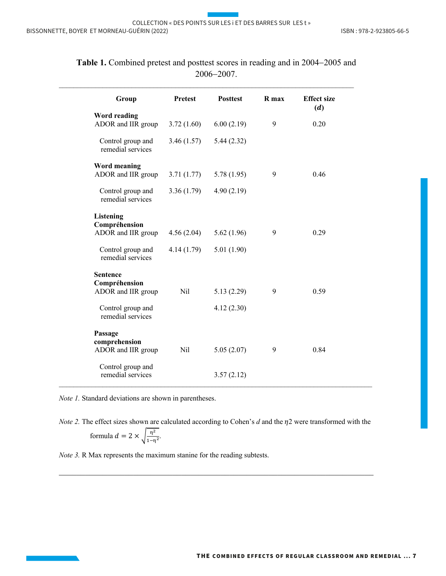| <b>Pretest</b> | <b>Posttest</b> | R max      | <b>Effect size</b><br>(d) |
|----------------|-----------------|------------|---------------------------|
| 3.72(1.60)     | 6.00(2.19)      | 9          | 0.20                      |
| 3.46(1.57)     | 5.44(2.32)      |            |                           |
|                |                 |            |                           |
|                |                 |            | 0.46                      |
| 3.36(1.79)     | 4.90(2.19)      |            |                           |
|                |                 |            |                           |
| 4.56(2.04)     | 5.62(1.96)      | 9          | 0.29                      |
| 4.14(1.79)     | 5.01(1.90)      |            |                           |
|                |                 |            |                           |
| Nil            | 5.13(2.29)      | 9          | 0.59                      |
|                | 4.12(2.30)      |            |                           |
|                |                 |            |                           |
| Nil            | 5.05(2.07)      | 9          | 0.84                      |
|                |                 |            |                           |
|                | 3.71(1.77)      | 5.78(1.95) | 9                         |

**Table 1.** Combined pretest and posttest scores in reading and in 2004-2005 and 2006-2007.

*Note 1.* Standard deviations are shown in parentheses.

*Note 2.* The effect sizes shown are calculated according to Cohen's  $d$  and the  $\eta$ 2 were transformed with the

 $\_$  , and the set of the set of the set of the set of the set of the set of the set of the set of the set of the set of the set of the set of the set of the set of the set of the set of the set of the set of the set of th

formula 
$$
d = 2 \times \sqrt{\frac{\eta^2}{1-\eta^2}}
$$
.

*Note 3.* R Max represents the maximum stanine for the reading subtests.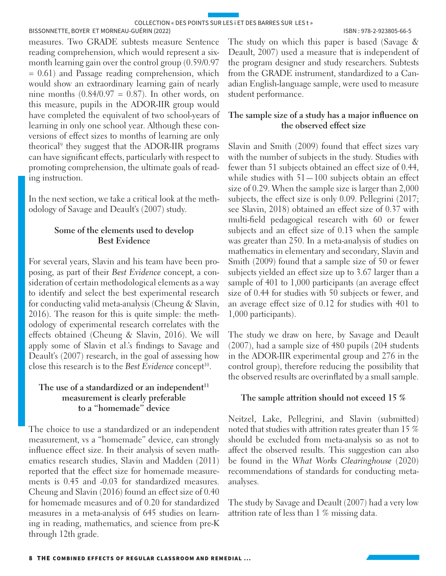BISSONNETTE, BOYER ET MORNEAU-GUÉRIN (2022) ISBN : 978-2-923805-66-5

measures. Two GRADE subtests measure Sentence reading comprehension, which would represent a sixmonth learning gain over the control group (0.59/0.97 = 0.61) and Passage reading comprehension, which would show an extraordinary learning gain of nearly nine months  $(0.84/0.97 = 0.87)$ . In other words, on this measure, pupils in the ADOR-IIR group would have completed the equivalent of two school-years of learning in only one school year. Although these conversions of effect sizes to months of learning are only theorical<sup>9</sup> they suggest that the ADOR-IIR programs can have significant effects, particularly with respect to promoting comprehension, the ultimate goals of reading instruction.

In the next section, we take a critical look at the methodology of Savage and Deault's (2007) study.

#### **Some of the elements used to develop Best Evidence**

For several years, Slavin and his team have been proposing, as part of their *Best Evidence* concept, a consideration of certain methodological elements as a way to identify and select the best experimental research for conducting valid meta-analysis (Cheung & Slavin, 2016). The reason for this is quite simple: the methodology of experimental research correlates with the effects obtained (Cheung & Slavin, 2016). We will apply some of Slavin et al.'s findings to Savage and Deault's (2007) research, in the goal of assessing how close this research is to the *Best Evidence* concept<sup>10</sup>.

#### The use of a standardized or an independent<sup>11</sup> **measurement is clearly preferable to a "homemade" device**

The choice to use a standardized or an independent measurement, vs a "homemade" device, can strongly influence effect size. In their analysis of seven mathematics research studies, Slavin and Madden (2011) reported that the effect size for homemade measurements is 0.45 and -0.03 for standardized measures. Cheung and Slavin (2016) found an effect size of 0.40 for homemade measures and of 0.20 for standardized measures in a meta-analysis of 645 studies on learning in reading, mathematics, and science from pre-K through 12th grade.

The study on which this paper is based (Savage & Deault, 2007) used a measure that is independent of the program designer and study researchers. Subtests from the GRADE instrument, standardized to a Canadian English-language sample, were used to measure student performance.

#### **The sample size of a study has a major influence on the observed effect size**

Slavin and Smith (2009) found that effect sizes vary with the number of subjects in the study. Studies with fewer than 51 subjects obtained an effect size of 0.44, while studies with  $51-100$  subjects obtain an effect size of 0.29. When the sample size is larger than 2,000 subjects, the effect size is only 0.09. Pellegrini (2017; see Slavin, 2018) obtained an effect size of 0.37 with multi-field pedagogical research with 60 or fewer subjects and an effect size of 0.13 when the sample was greater than 250. In a meta-analysis of studies on mathematics in elementary and secondary, Slavin and Smith (2009) found that a sample size of 50 or fewer subjects yielded an effect size up to 3.67 larger than a sample of 401 to 1,000 participants (an average effect size of 0.44 for studies with 50 subjects or fewer, and an average effect size of 0.12 for studies with 401 to 1,000 participants).

The study we draw on here, by Savage and Deault (2007), had a sample size of 480 pupils (204 students in the ADOR-IIR experimental group and 276 in the control group), therefore reducing the possibility that the observed results are overinflated by a small sample.

#### **The sample attrition should not exceed 15 %**

Neitzel, Lake, Pellegrini, and Slavin (submitted) noted that studies with attrition rates greater than 15 % should be excluded from meta-analysis so as not to affect the observed results. This suggestion can also be found in the *What Works Clearinghouse* (2020) recommendations of standards for conducting metaanalyses.

The study by Savage and Deault (2007) had a very low attrition rate of less than 1 % missing data.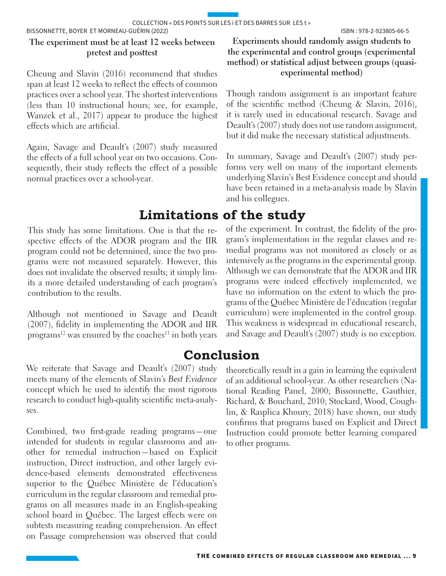#### **The experiment must be at least 12 weeks between pretest and posttest**

Cheung and Slavin (2016) recommend that studies span at least 12 weeks to reflect the effects of common practices over a school year. The shortest interventions (less than 10 instructional hours; see, for example, Wanzek et al., 2017) appear to produce the highest effects which are artificial.

Again, Savage and Deault's (2007) study measured the effects of a full school year on two occasions. Consequently, their study reflects the effect of a possible normal practices over a school-year.

# **Limitations of the study**

This study has some limitations. One is that the respective effects of the ADOR program and the IIR program could not be determined, since the two programs were not measured separately. However, this does not invalidate the observed results; it simply limits a more detailed understanding of each program's contribution to the results.

Although not mentioned in Savage and Deault (2007), fidelity in implementing the ADOR and IIR programs<sup>12</sup> was ensured by the coaches<sup>13</sup> in both years

#### We reiterate that Savage and Deault's (2007) study meets many of the elements of Slavin's *Best Evidence* concept which he used to identify the most rigorous research to conduct high-quality scientific meta-analyses.

Combined, two first-grade reading programs—one intended for students in regular classrooms and another for remedial instruction—based on Explicit instruction, Direct instruction, and other largely evidence-based elements demonstrated effectiveness superior to the Québec Ministère de l'éducation's curriculum in the regular classroom and remedial programs on all measures made in an English-speaking school board in Québec. The largest effects were on subtests measuring reading comprehension. An effect on Passage comprehension was observed that could

#### **Experiments should randomly assign students to the experimental and control groups (experimental method) or statistical adjust between groups (quasiexperimental method)**

Though random assignment is an important feature of the scientific method (Cheung & Slavin, 2016), it is rarely used in educational research. Savage and Deault's (2007) study does not use random assignment, but it did make the necessary statistical adjustments.

In summary, Savage and Deault's (2007) study performs very well on many of the important elements underlying Slavin's Best Evidence concept and should have been retained in a meta-analysis made by Slavin and his collegues.

of the experiment. In contrast, the fidelity of the program's implementation in the regular classes and remedial programs was not monitored as closely or as intensively as the programs in the experimental group. Although we can demonstrate that the ADOR and IIR programs were indeed effectively implemented, we have no information on the extent to which the programs of the Québec Ministère de l'éducation (regular curriculum) were implemented in the control group. This weakness is widespread in educational research, and Savage and Deault's (2007) study is no exception.

# **Conclusion**

theoretically result in a gain in learning the equivalent of an additional school-year. As other researchers (National Reading Panel, 2000; Bissonnette, Gauthier, Richard, & Bouchard, 2010; Stockard, Wood, Coughlin, & Rasplica Khoury, 2018) have shown, our study confirms that programs based on Explicit and Direct Instruction could promote better learning compared to other programs.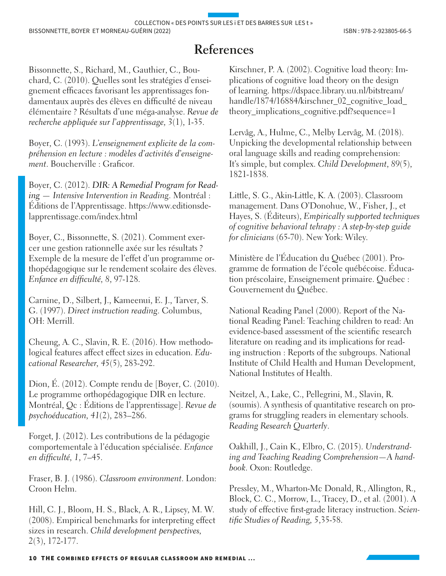# **References**

Bissonnette, S., Richard, M., Gauthier, C., Bouchard, C. (2010). Quelles sont les stratégies d'enseignement efficaces favorisant les apprentissages fondamentaux auprès des élèves en difficulté de niveau élémentaire ? Résultats d'une méga-analyse. *Revue de recherche appliquée sur l'apprentissage, 3*(1), 1-35.

Boyer, C. (1993). *L'enseignement explicite de la compréhension en lecture : modèles d'activités d'enseignement*. Boucherville : Graficor.

Boyer, C. (2012). *DIR: A Remedial Program for Reading — Intensive Intervention in Reading*. Montréal : Éditions de l'Apprentissage. https://www.editionsdelapprentissage.com/index.html

Boyer, C., Bissonnette, S. (2021). Comment exercer une gestion rationnelle axée sur les résultats ? Exemple de la mesure de l'effet d'un programme orthopédagogique sur le rendement scolaire des élèves. *Enfance en difficulté, 8*, 97-128.

Carnine, D., Silbert, J., Kameenui, E. J., Tarver, S. G. (1997). *Direct instruction reading*. Columbus, OH: Merrill.

Cheung, A. C., Slavin, R. E. (2016). How methodological features affect effect sizes in education. *Educational Researcher, 45*(5), 283-292.

Dion, É. (2012). Compte rendu de [Boyer, C. (2010). Le programme orthopédagogique DIR en lecture. Montréal, Qc : Éditions de l'apprentissage]. *Revue de psychoéducation, 41*(2), 283–286.

Forget, J. (2012). Les contributions de la pédagogie comportementale à l'éducation spécialisée. *Enfance en difficulté, 1*, 7–45.

Fraser, B. J. (1986). *Classroom environment*. London: Croon Helm.

Hill, C. J., Bloom, H. S., Black, A. R., Lipsey, M. W. (2008). Empirical benchmarks for interpreting effect sizes in research. *Child development perspectives, 2*(3), 172-177.

Kirschner, P. A. (2002). Cognitive load theory: Implications of cognitive load theory on the design of learning. https://dspace.library.uu.nl/bitstream/ handle/1874/16884/kirschner\_02\_cognitive\_load\_ theory\_implications\_cognitive.pdf?sequence=1

Lervåg, A., Hulme, C., Melby Lervåg, M. (2018). Unpicking the developmental relationship between oral language skills and reading comprehension: It's simple, but complex. *Child Development*, *89*(5), 1821-1838.

Little, S. G., Akin-Little, K. A. (2003). Classroom management. Dans O'Donohue, W., Fisher, J., et Hayes, S. (Éditeurs), *Empirically supported techniques of cognitive behavioral tehrapy : A step-by-step guide for clinicians* (65-70). New York: Wiley.

Ministère de l'Éducation du Québec (2001). Programme de formation de l'école québécoise. Éducation préscolaire, Enseignement primaire. Québec : Gouvernement du Québec.

National Reading Panel (2000). Report of the National Reading Panel: Teaching children to read: An evidence-based assessment of the scientific research literature on reading and its implications for reading instruction : Reports of the subgroups. National Institute of Child Health and Human Development, National Institutes of Health.

Neitzel, A., Lake, C., Pellegrini, M., Slavin, R. (soumis). A synthesis of quantitative research on programs for struggling readers in elementary schools. *Reading Research Quarterly*.

Oakhill, J., Cain K., Elbro, C. (2015). *Understranding and Teaching Reading Comprehension—A handbook*. Oxon: Routledge.

Pressley, M., Wharton-Mc Donald, R., Allington, R., Block, C. C., Morrow, L., Tracey, D., et al. (2001). A study of effective first-grade literacy instruction. *Scientific Studies of Reading, 5*,35-58.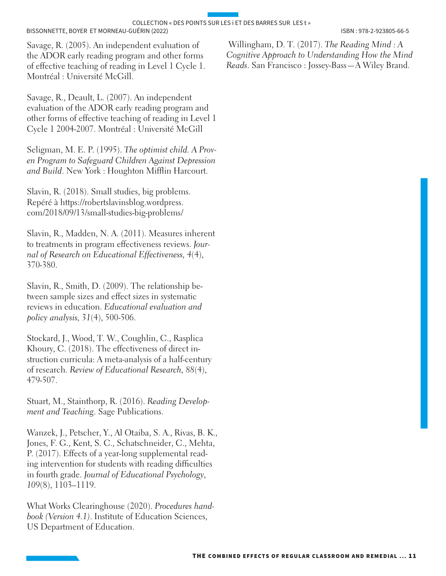Savage, R. (2005). An independent evaluation of the ADOR early reading program and other forms of effective teaching of reading in Level 1 Cycle 1. Montréal : Université McGill.

Savage, R., Deault, L. (2007). An independent evaluation of the ADOR early reading program and other forms of effective teaching of reading in Level 1 Cycle 1 2004-2007. Montréal : Université McGill

Seligman, M. E. P. (1995). *The optimist child. A Proven Program to Safeguard Children Against Depression and Build*. New York : Houghton Mifflin Harcourt.

Slavin, R. (2018). Small studies, big problems. Repéré à https://robertslavinsblog.wordpress. com/2018/09/13/small-studies-big-problems/

Slavin, R., Madden, N. A. (2011). Measures inherent to treatments in program effectiveness reviews. *Journal of Research on Educational Effectiveness, 4*(4), 370-380.

Slavin, R., Smith, D. (2009). The relationship between sample sizes and effect sizes in systematic reviews in education. *Educational evaluation and policy analysis, 31*(4), 500-506.

Stockard, J., Wood, T. W., Coughlin, C., Rasplica Khoury, C. (2018). The effectiveness of direct instruction curricula: A meta-analysis of a half-century of research. *Review of Educational Research, 88*(4), 479-507.

Stuart, M., Stainthorp, R. (2016). *Reading Development and Teaching*. Sage Publications.

Wanzek, J., Petscher, Y., Al Otaiba, S. A., Rivas, B. K., Jones, F. G., Kent, S. C., Schatschneider, C., Mehta, P. (2017). Effects of a year-long supplemental reading intervention for students with reading difficulties in fourth grade. *Journal of Educational Psychology, 109*(8), 1103–1119.

What Works Clearinghouse (2020). *Procedures handbook (Version 4.1)*. Institute of Education Sciences, US Department of Education.

 Willingham, D. T. (2017). *The Reading Mind : A Cognitive Approach to Understanding How the Mind Reads*. San Francisco : Jossey-Bass—A Wiley Brand.